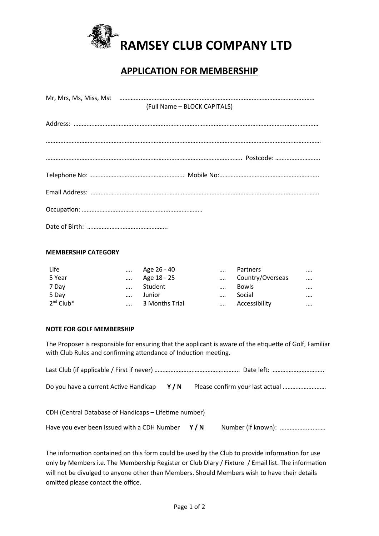

## **APPLICATION FOR MEMBERSHIP**

| (Full Name - BLOCK CAPITALS) |
|------------------------------|
|                              |
|                              |
|                              |
|                              |
|                              |
|                              |

## **MEMBERSHIP CATEGORY**

| Life           | $\cdots$ | Age 26 - 40    | $\cdots$ | Partners         |          |
|----------------|----------|----------------|----------|------------------|----------|
| 5 Year         | $\cdots$ | Age 18 - 25    | $\cdots$ | Country/Overseas | $\cdots$ |
| 7 Day          | $\cdots$ | Student        | $\cdots$ | <b>Bowls</b>     |          |
| 5 Day          | $\cdots$ | Junior         | $\cdots$ | Social           |          |
| $2^{nd}$ Club* | $\cdots$ | 3 Months Trial | $\cdots$ | Accessibility    |          |

## **NOTE FOR GOLF MEMBERSHIP**

The Proposer is responsible for ensuring that the applicant is aware of the etiquette of Golf, Familiar with Club Rules and confirming attendance of Induction meeting.

| Do you have a current Active Handicap $Y/N$           |  |  |  |  |  |  |  |
|-------------------------------------------------------|--|--|--|--|--|--|--|
| CDH (Central Database of Handicaps – Lifetime number) |  |  |  |  |  |  |  |
| Have you ever been issued with a CDH Number $Y/N$     |  |  |  |  |  |  |  |

The information contained on this form could be used by the Club to provide information for use only by Members i.e. The Membership Register or Club Diary / Fixture / Email list. The information will not be divulged to anyone other than Members. Should Members wish to have their details omitted please contact the office.